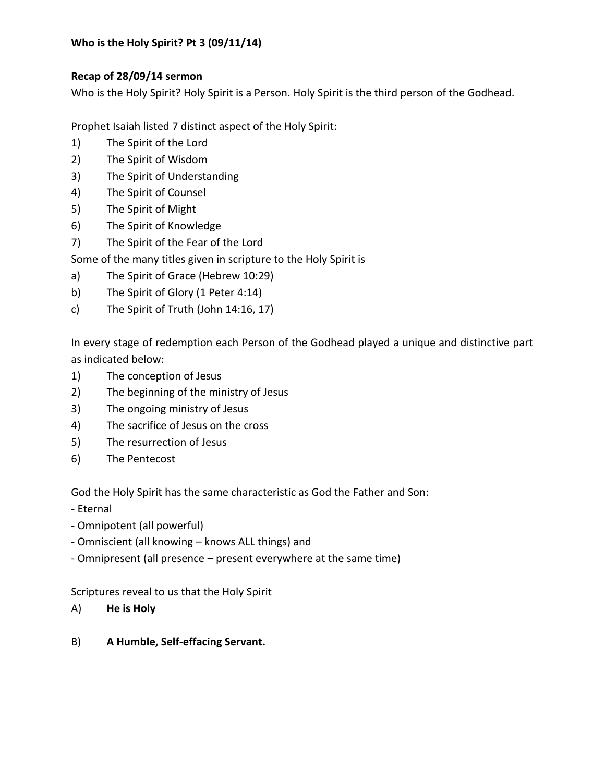## **Who is the Holy Spirit? Pt 3 (09/11/14)**

## **Recap of 28/09/14 sermon**

Who is the Holy Spirit? Holy Spirit is a Person. Holy Spirit is the third person of the Godhead.

Prophet Isaiah listed 7 distinct aspect of the Holy Spirit:

- 1) The Spirit of the Lord
- 2) The Spirit of Wisdom
- 3) The Spirit of Understanding
- 4) The Spirit of Counsel
- 5) The Spirit of Might
- 6) The Spirit of Knowledge
- 7) The Spirit of the Fear of the Lord

Some of the many titles given in scripture to the Holy Spirit is

- a) The Spirit of Grace (Hebrew 10:29)
- b) The Spirit of Glory (1 Peter 4:14)
- c) The Spirit of Truth (John 14:16, 17)

In every stage of redemption each Person of the Godhead played a unique and distinctive part as indicated below:

- 1) The conception of Jesus
- 2) The beginning of the ministry of Jesus
- 3) The ongoing ministry of Jesus
- 4) The sacrifice of Jesus on the cross
- 5) The resurrection of Jesus
- 6) The Pentecost

God the Holy Spirit has the same characteristic as God the Father and Son:

- Eternal
- Omnipotent (all powerful)
- Omniscient (all knowing knows ALL things) and
- Omnipresent (all presence present everywhere at the same time)

Scriptures reveal to us that the Holy Spirit

A) **He is Holy**

### B) **A Humble, Self-effacing Servant.**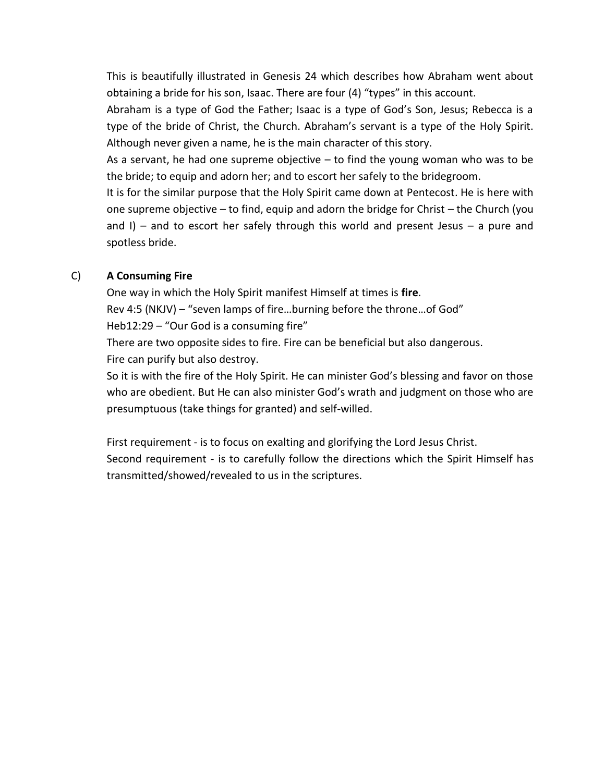This is beautifully illustrated in Genesis 24 which describes how Abraham went about obtaining a bride for his son, Isaac. There are four (4) "types" in this account.

Abraham is a type of God the Father; Isaac is a type of God's Son, Jesus; Rebecca is a type of the bride of Christ, the Church. Abraham's servant is a type of the Holy Spirit. Although never given a name, he is the main character of this story.

As a servant, he had one supreme objective – to find the young woman who was to be the bride; to equip and adorn her; and to escort her safely to the bridegroom.

It is for the similar purpose that the Holy Spirit came down at Pentecost. He is here with one supreme objective – to find, equip and adorn the bridge for Christ – the Church (you and  $I$ ) – and to escort her safely through this world and present Jesus – a pure and spotless bride.

### C) **A Consuming Fire**

One way in which the Holy Spirit manifest Himself at times is **fire**. Rev 4:5 (NKJV) – "seven lamps of fire…burning before the throne…of God" Heb12:29 – "Our God is a consuming fire" There are two opposite sides to fire. Fire can be beneficial but also dangerous. Fire can purify but also destroy.

So it is with the fire of the Holy Spirit. He can minister God's blessing and favor on those who are obedient. But He can also minister God's wrath and judgment on those who are presumptuous (take things for granted) and self-willed.

First requirement - is to focus on exalting and glorifying the Lord Jesus Christ. Second requirement - is to carefully follow the directions which the Spirit Himself has transmitted/showed/revealed to us in the scriptures.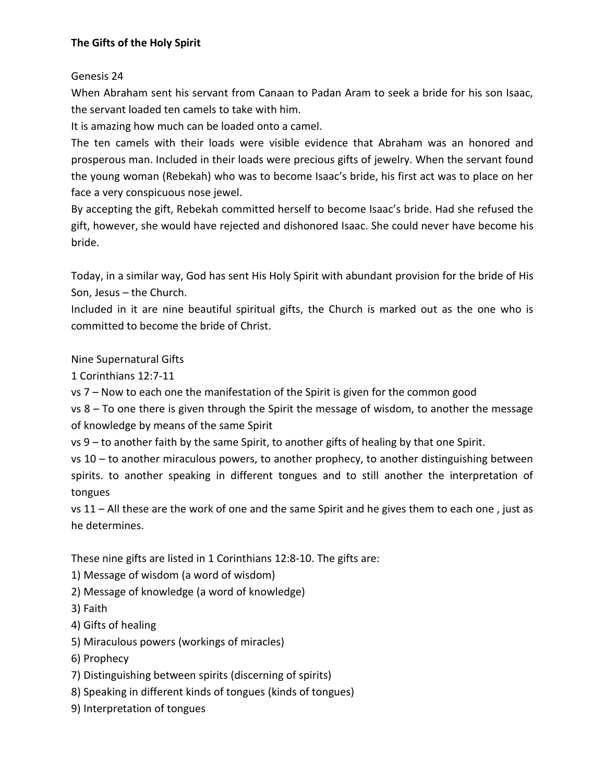## Genesis 24

When Abraham sent his servant from Canaan to Padan Aram to seek a bride for his son Isaac, the servant loaded ten camels to take with him.

It is amazing how much can be loaded onto a camel.

The ten camels with their loads were visible evidence that Abraham was an honored and prosperous man. Included in their loads were precious gifts of jewelry. When the servant found the young woman (Rebekah) who was to become Isaac's bride, his first act was to place on her face a very conspicuous nose jewel.

By accepting the gift, Rebekah committed herself to become Isaac's bride. Had she refused the gift, however, she would have rejected and dishonored Isaac. She could never have become his bride.

Today, in a similar way, God has sent His Holy Spirit with abundant provision for the bride of His Son, Jesus – the Church.

Included in it are nine beautiful spiritual gifts, the Church is marked out as the one who is committed to become the bride of Christ.

Nine Supernatural Gifts

1 Corinthians 12:7-11

vs 7 – Now to each one the manifestation of the Spirit is given for the common good

vs 8 – To one there is given through the Spirit the message of wisdom, to another the message of knowledge by means of the same Spirit

vs 9 – to another faith by the same Spirit, to another gifts of healing by that one Spirit.

vs 10 – to another miraculous powers, to another prophecy, to another distinguishing between spirits. to another speaking in different tongues and to still another the interpretation of tongues

vs 11 – All these are the work of one and the same Spirit and he gives them to each one , just as he determines.

These nine gifts are listed in 1 Corinthians 12:8-10. The gifts are:

- 1) Message of wisdom (a word of wisdom)
- 2) Message of knowledge (a word of knowledge)

3) Faith

4) Gifts of healing

- 5) Miraculous powers (workings of miracles)
- 6) Prophecy
- 7) Distinguishing between spirits (discerning of spirits)
- 8) Speaking in different kinds of tongues (kinds of tongues)
- 9) Interpretation of tongues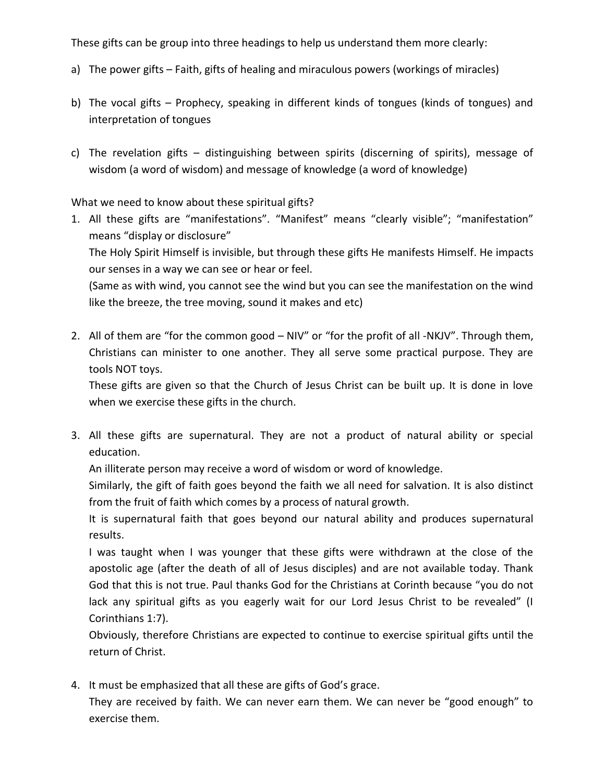These gifts can be group into three headings to help us understand them more clearly:

- a) The power gifts Faith, gifts of healing and miraculous powers (workings of miracles)
- b) The vocal gifts Prophecy, speaking in different kinds of tongues (kinds of tongues) and interpretation of tongues
- c) The revelation gifts distinguishing between spirits (discerning of spirits), message of wisdom (a word of wisdom) and message of knowledge (a word of knowledge)

What we need to know about these spiritual gifts?

1. All these gifts are "manifestations". "Manifest" means "clearly visible"; "manifestation" means "display or disclosure"

The Holy Spirit Himself is invisible, but through these gifts He manifests Himself. He impacts our senses in a way we can see or hear or feel.

(Same as with wind, you cannot see the wind but you can see the manifestation on the wind like the breeze, the tree moving, sound it makes and etc)

2. All of them are "for the common good – NIV" or "for the profit of all -NKJV". Through them, Christians can minister to one another. They all serve some practical purpose. They are tools NOT toys.

These gifts are given so that the Church of Jesus Christ can be built up. It is done in love when we exercise these gifts in the church.

3. All these gifts are supernatural. They are not a product of natural ability or special education.

An illiterate person may receive a word of wisdom or word of knowledge.

Similarly, the gift of faith goes beyond the faith we all need for salvation. It is also distinct from the fruit of faith which comes by a process of natural growth.

It is supernatural faith that goes beyond our natural ability and produces supernatural results.

I was taught when I was younger that these gifts were withdrawn at the close of the apostolic age (after the death of all of Jesus disciples) and are not available today. Thank God that this is not true. Paul thanks God for the Christians at Corinth because "you do not lack any spiritual gifts as you eagerly wait for our Lord Jesus Christ to be revealed" (I Corinthians 1:7).

Obviously, therefore Christians are expected to continue to exercise spiritual gifts until the return of Christ.

4. It must be emphasized that all these are gifts of God's grace.

They are received by faith. We can never earn them. We can never be "good enough" to exercise them.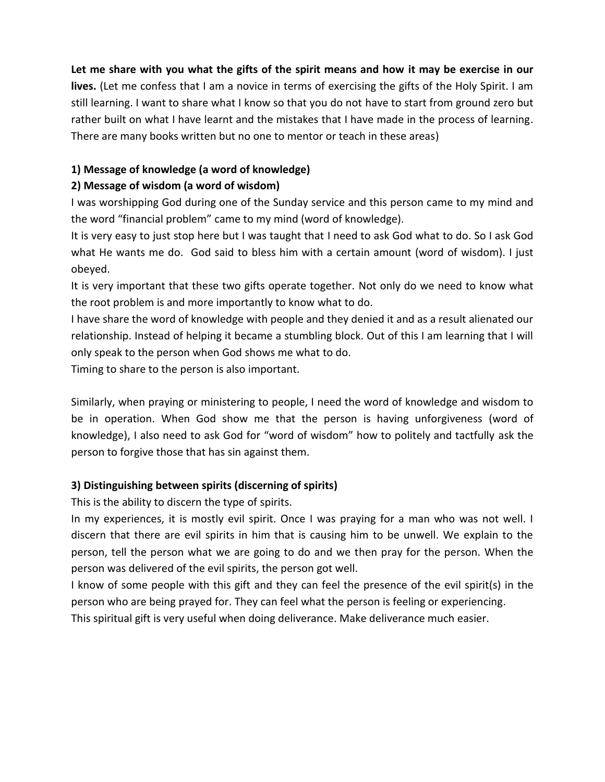**Let me share with you what the gifts of the spirit means and how it may be exercise in our lives.** (Let me confess that I am a novice in terms of exercising the gifts of the Holy Spirit. I am still learning. I want to share what I know so that you do not have to start from ground zero but rather built on what I have learnt and the mistakes that I have made in the process of learning. There are many books written but no one to mentor or teach in these areas)

## **1) Message of knowledge (a word of knowledge)**

## **2) Message of wisdom (a word of wisdom)**

I was worshipping God during one of the Sunday service and this person came to my mind and the word "financial problem" came to my mind (word of knowledge).

It is very easy to just stop here but I was taught that I need to ask God what to do. So I ask God what He wants me do. God said to bless him with a certain amount (word of wisdom). I just obeyed.

It is very important that these two gifts operate together. Not only do we need to know what the root problem is and more importantly to know what to do.

I have share the word of knowledge with people and they denied it and as a result alienated our relationship. Instead of helping it became a stumbling block. Out of this I am learning that I will only speak to the person when God shows me what to do.

Timing to share to the person is also important.

Similarly, when praying or ministering to people, I need the word of knowledge and wisdom to be in operation. When God show me that the person is having unforgiveness (word of knowledge), I also need to ask God for "word of wisdom" how to politely and tactfully ask the person to forgive those that has sin against them.

### **3) Distinguishing between spirits (discerning of spirits)**

This is the ability to discern the type of spirits.

In my experiences, it is mostly evil spirit. Once I was praying for a man who was not well. I discern that there are evil spirits in him that is causing him to be unwell. We explain to the person, tell the person what we are going to do and we then pray for the person. When the person was delivered of the evil spirits, the person got well.

I know of some people with this gift and they can feel the presence of the evil spirit(s) in the person who are being prayed for. They can feel what the person is feeling or experiencing. This spiritual gift is very useful when doing deliverance. Make deliverance much easier.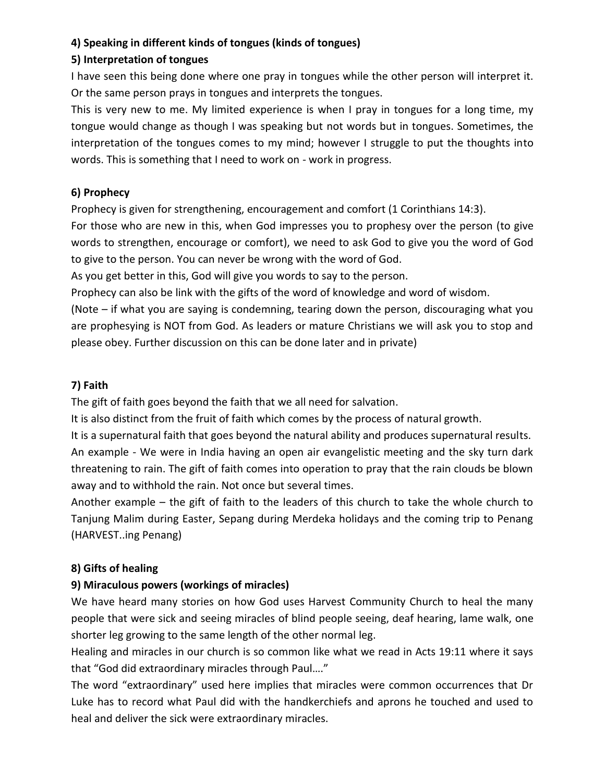### **4) Speaking in different kinds of tongues (kinds of tongues)**

### **5) Interpretation of tongues**

I have seen this being done where one pray in tongues while the other person will interpret it. Or the same person prays in tongues and interprets the tongues.

This is very new to me. My limited experience is when I pray in tongues for a long time, my tongue would change as though I was speaking but not words but in tongues. Sometimes, the interpretation of the tongues comes to my mind; however I struggle to put the thoughts into words. This is something that I need to work on - work in progress.

### **6) Prophecy**

Prophecy is given for strengthening, encouragement and comfort (1 Corinthians 14:3).

For those who are new in this, when God impresses you to prophesy over the person (to give words to strengthen, encourage or comfort), we need to ask God to give you the word of God to give to the person. You can never be wrong with the word of God.

As you get better in this, God will give you words to say to the person.

Prophecy can also be link with the gifts of the word of knowledge and word of wisdom.

(Note – if what you are saying is condemning, tearing down the person, discouraging what you are prophesying is NOT from God. As leaders or mature Christians we will ask you to stop and please obey. Further discussion on this can be done later and in private)

# **7) Faith**

The gift of faith goes beyond the faith that we all need for salvation.

It is also distinct from the fruit of faith which comes by the process of natural growth.

It is a supernatural faith that goes beyond the natural ability and produces supernatural results. An example - We were in India having an open air evangelistic meeting and the sky turn dark threatening to rain. The gift of faith comes into operation to pray that the rain clouds be blown away and to withhold the rain. Not once but several times.

Another example – the gift of faith to the leaders of this church to take the whole church to Tanjung Malim during Easter, Sepang during Merdeka holidays and the coming trip to Penang (HARVEST..ing Penang)

## **8) Gifts of healing**

## **9) Miraculous powers (workings of miracles)**

We have heard many stories on how God uses Harvest Community Church to heal the many people that were sick and seeing miracles of blind people seeing, deaf hearing, lame walk, one shorter leg growing to the same length of the other normal leg.

Healing and miracles in our church is so common like what we read in Acts 19:11 where it says that "God did extraordinary miracles through Paul…."

The word "extraordinary" used here implies that miracles were common occurrences that Dr Luke has to record what Paul did with the handkerchiefs and aprons he touched and used to heal and deliver the sick were extraordinary miracles.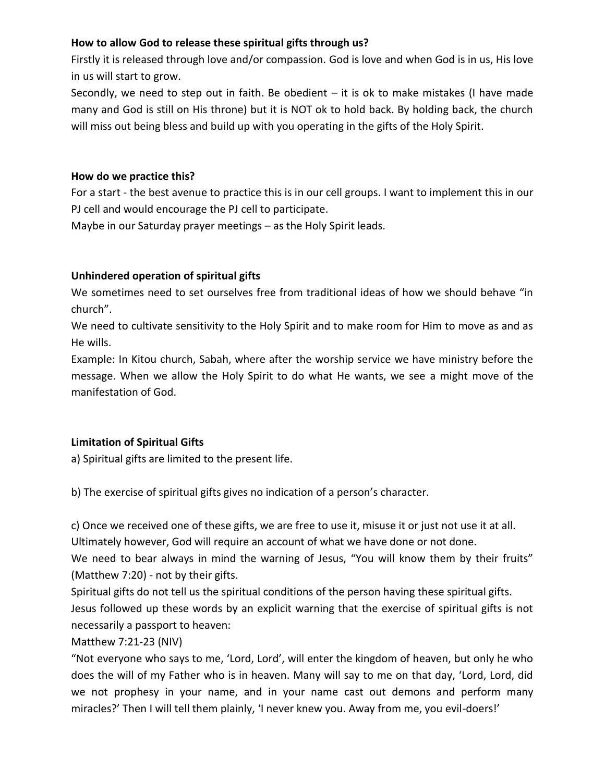## **How to allow God to release these spiritual gifts through us?**

Firstly it is released through love and/or compassion. God is love and when God is in us, His love in us will start to grow.

Secondly, we need to step out in faith. Be obedient  $-$  it is ok to make mistakes (I have made many and God is still on His throne) but it is NOT ok to hold back. By holding back, the church will miss out being bless and build up with you operating in the gifts of the Holy Spirit.

#### **How do we practice this?**

For a start - the best avenue to practice this is in our cell groups. I want to implement this in our PJ cell and would encourage the PJ cell to participate.

Maybe in our Saturday prayer meetings – as the Holy Spirit leads.

### **Unhindered operation of spiritual gifts**

We sometimes need to set ourselves free from traditional ideas of how we should behave "in church".

We need to cultivate sensitivity to the Holy Spirit and to make room for Him to move as and as He wills.

Example: In Kitou church, Sabah, where after the worship service we have ministry before the message. When we allow the Holy Spirit to do what He wants, we see a might move of the manifestation of God.

### **Limitation of Spiritual Gifts**

a) Spiritual gifts are limited to the present life.

b) The exercise of spiritual gifts gives no indication of a person's character.

c) Once we received one of these gifts, we are free to use it, misuse it or just not use it at all. Ultimately however, God will require an account of what we have done or not done.

We need to bear always in mind the warning of Jesus, "You will know them by their fruits" (Matthew 7:20) - not by their gifts.

Spiritual gifts do not tell us the spiritual conditions of the person having these spiritual gifts. Jesus followed up these words by an explicit warning that the exercise of spiritual gifts is not necessarily a passport to heaven:

### Matthew 7:21-23 (NIV)

"Not everyone who says to me, 'Lord, Lord', will enter the kingdom of heaven, but only he who does the will of my Father who is in heaven. Many will say to me on that day, 'Lord, Lord, did we not prophesy in your name, and in your name cast out demons and perform many miracles?' Then I will tell them plainly, 'I never knew you. Away from me, you evil-doers!'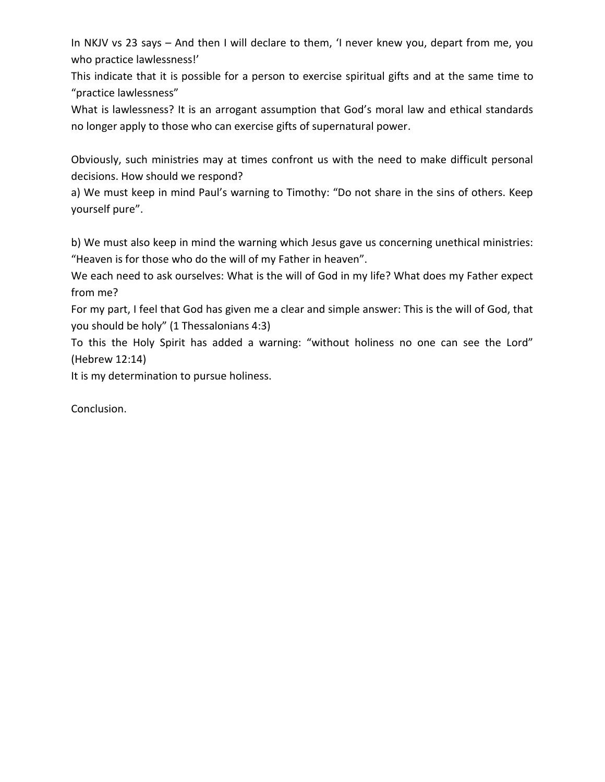In NKJV vs 23 says – And then I will declare to them, 'I never knew you, depart from me, you who practice lawlessness!'

This indicate that it is possible for a person to exercise spiritual gifts and at the same time to "practice lawlessness"

What is lawlessness? It is an arrogant assumption that God's moral law and ethical standards no longer apply to those who can exercise gifts of supernatural power.

Obviously, such ministries may at times confront us with the need to make difficult personal decisions. How should we respond?

a) We must keep in mind Paul's warning to Timothy: "Do not share in the sins of others. Keep yourself pure".

b) We must also keep in mind the warning which Jesus gave us concerning unethical ministries: "Heaven is for those who do the will of my Father in heaven".

We each need to ask ourselves: What is the will of God in my life? What does my Father expect from me?

For my part, I feel that God has given me a clear and simple answer: This is the will of God, that you should be holy" (1 Thessalonians 4:3)

To this the Holy Spirit has added a warning: "without holiness no one can see the Lord" (Hebrew 12:14)

It is my determination to pursue holiness.

Conclusion.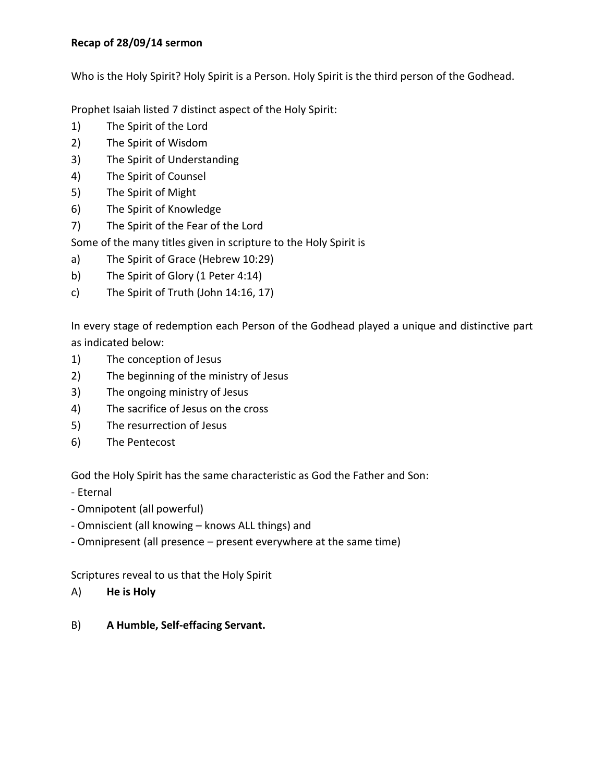### **Recap of 28/09/14 sermon**

Who is the Holy Spirit? Holy Spirit is a Person. Holy Spirit is the third person of the Godhead.

Prophet Isaiah listed 7 distinct aspect of the Holy Spirit:

- 1) The Spirit of the Lord
- 2) The Spirit of Wisdom
- 3) The Spirit of Understanding
- 4) The Spirit of Counsel
- 5) The Spirit of Might
- 6) The Spirit of Knowledge
- 7) The Spirit of the Fear of the Lord

Some of the many titles given in scripture to the Holy Spirit is

- a) The Spirit of Grace (Hebrew 10:29)
- b) The Spirit of Glory (1 Peter 4:14)
- c) The Spirit of Truth (John 14:16, 17)

In every stage of redemption each Person of the Godhead played a unique and distinctive part as indicated below:

- 1) The conception of Jesus
- 2) The beginning of the ministry of Jesus
- 3) The ongoing ministry of Jesus
- 4) The sacrifice of Jesus on the cross
- 5) The resurrection of Jesus
- 6) The Pentecost

God the Holy Spirit has the same characteristic as God the Father and Son:

- Eternal
- Omnipotent (all powerful)
- Omniscient (all knowing knows ALL things) and
- Omnipresent (all presence present everywhere at the same time)

Scriptures reveal to us that the Holy Spirit

- A) **He is Holy**
- B) **A Humble, Self-effacing Servant.**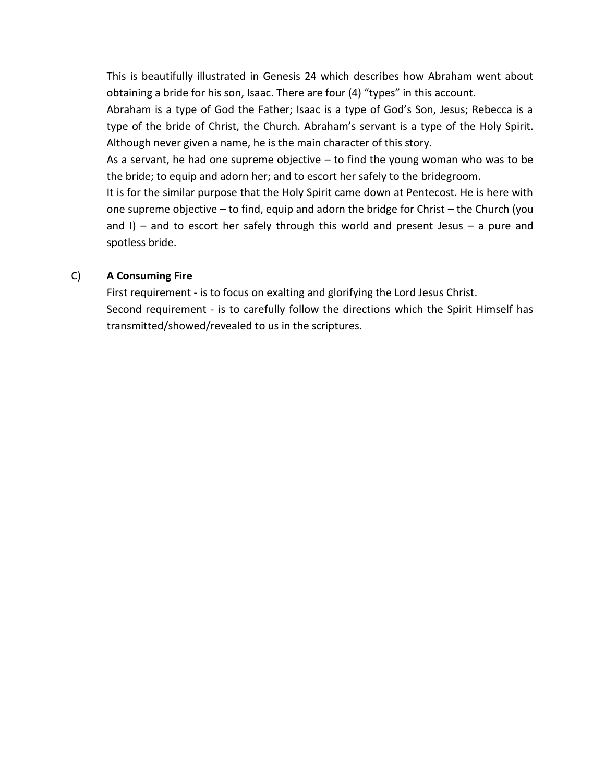This is beautifully illustrated in Genesis 24 which describes how Abraham went about obtaining a bride for his son, Isaac. There are four (4) "types" in this account.

Abraham is a type of God the Father; Isaac is a type of God's Son, Jesus; Rebecca is a type of the bride of Christ, the Church. Abraham's servant is a type of the Holy Spirit. Although never given a name, he is the main character of this story.

As a servant, he had one supreme objective – to find the young woman who was to be the bride; to equip and adorn her; and to escort her safely to the bridegroom.

It is for the similar purpose that the Holy Spirit came down at Pentecost. He is here with one supreme objective – to find, equip and adorn the bridge for Christ – the Church (you and I) – and to escort her safely through this world and present Jesus – a pure and spotless bride.

#### C) **A Consuming Fire**

First requirement - is to focus on exalting and glorifying the Lord Jesus Christ.

Second requirement - is to carefully follow the directions which the Spirit Himself has transmitted/showed/revealed to us in the scriptures.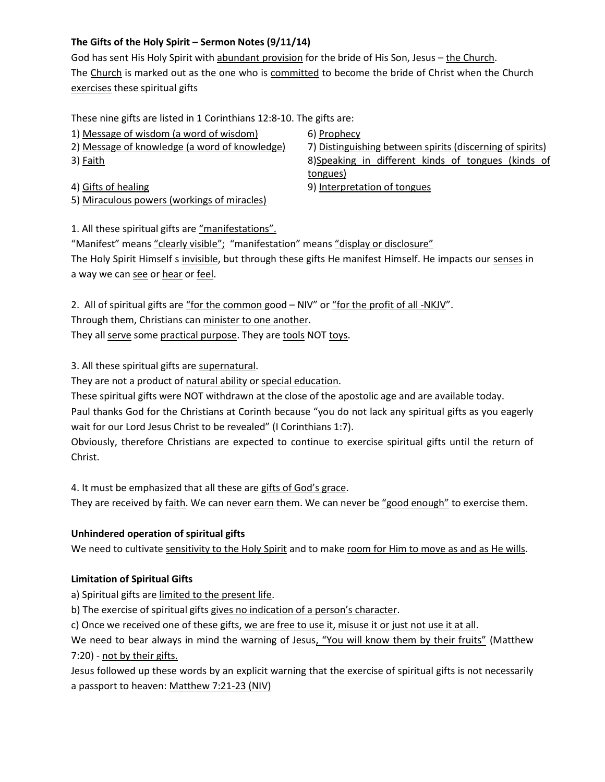#### **The Gifts of the Holy Spirit – Sermon Notes (9/11/14)**

God has sent His Holy Spirit with abundant provision for the bride of His Son, Jesus – the Church. The Church is marked out as the one who is committed to become the bride of Christ when the Church exercises these spiritual gifts

These nine gifts are listed in 1 Corinthians 12:8-10. The gifts are:

| 1) Message of wisdom (a word of wisdom)<br>2) Message of knowledge (a word of knowledge) | 6) Prophecy<br>7) Distinguishing between spirits (discerning of spirits) |
|------------------------------------------------------------------------------------------|--------------------------------------------------------------------------|
| 3) Faith                                                                                 | 8) Speaking in different kinds of tongues (kinds of                      |
|                                                                                          | tongues)                                                                 |
| 4) Gifts of healing                                                                      | 9) Interpretation of tongues                                             |
| 5) Miraculous powers (workings of miracles)                                              |                                                                          |

1. All these spiritual gifts are "manifestations".

"Manifest" means "clearly visible"; "manifestation" means "display or disclosure" The Holy Spirit Himself s invisible, but through these gifts He manifest Himself. He impacts our senses in a way we can see or hear or feel.

2. All of spiritual gifts are "for the common good – NIV" or "for the profit of all -NKJV". Through them, Christians can minister to one another.

They all serve some practical purpose. They are tools NOT toys.

3. All these spiritual gifts are supernatural.

They are not a product of natural ability or special education.

These spiritual gifts were NOT withdrawn at the close of the apostolic age and are available today.

Paul thanks God for the Christians at Corinth because "you do not lack any spiritual gifts as you eagerly wait for our Lord Jesus Christ to be revealed" (I Corinthians 1:7).

Obviously, therefore Christians are expected to continue to exercise spiritual gifts until the return of Christ.

4. It must be emphasized that all these are gifts of God's grace.

They are received by faith. We can never earn them. We can never be "good enough" to exercise them.

### **Unhindered operation of spiritual gifts**

We need to cultivate sensitivity to the Holy Spirit and to make room for Him to move as and as He wills.

#### **Limitation of Spiritual Gifts**

a) Spiritual gifts are limited to the present life.

b) The exercise of spiritual gifts gives no indication of a person's character.

c) Once we received one of these gifts, we are free to use it, misuse it or just not use it at all.

We need to bear always in mind the warning of Jesus, "You will know them by their fruits" (Matthew 7:20) - not by their gifts.

Jesus followed up these words by an explicit warning that the exercise of spiritual gifts is not necessarily a passport to heaven: Matthew 7:21-23 (NIV)